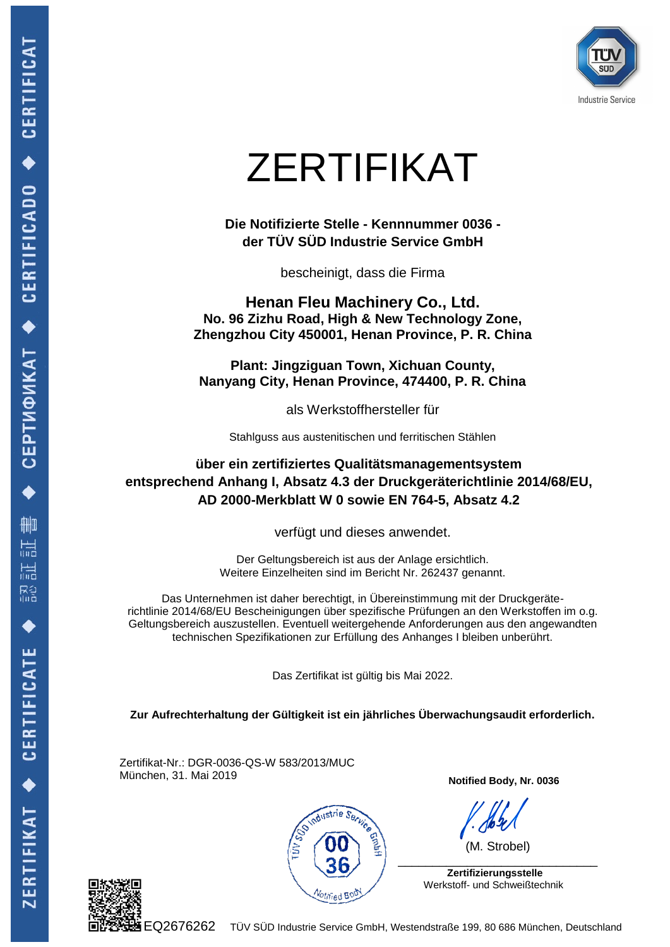

## ZERTIFIKAT

**Die Notifizierte Stelle - Kennnummer 0036 der TÜV SÜD Industrie Service GmbH**

bescheinigt, dass die Firma

**Henan Fleu Machinery Co., Ltd. No. 96 Zizhu Road, High & New Technology Zone, Zhengzhou City 450001, Henan Province, P. R. China**

**Plant: Jingziguan Town, Xichuan County, Nanyang City, Henan Province, 474400, P. R. China**

als Werkstoffhersteller für

Stahlguss aus austenitischen und ferritischen Stählen

**über ein zertifiziertes Qualitätsmanagementsystem entsprechend Anhang I, Absatz 4.3 der Druckgeräterichtlinie 2014/68/EU, AD 2000-Merkblatt W 0 sowie EN 764-5, Absatz 4.2**

verfügt und dieses anwendet.

Der Geltungsbereich ist aus der Anlage ersichtlich. Weitere Einzelheiten sind im Bericht Nr. 262437 genannt.

Das Unternehmen ist daher berechtigt, in Übereinstimmung mit der Druckgeräterichtlinie 2014/68/EU Bescheinigungen über spezifische Prüfungen an den Werkstoffen im o.g. Geltungsbereich auszustellen. Eventuell weitergehende Anforderungen aus den angewandten technischen Spezifikationen zur Erfüllung des Anhanges I bleiben unberührt.

Das Zertifikat ist gültig bis Mai 2022.

**Zur Aufrechterhaltung der Gültigkeit ist ein jährliches Überwachungsaudit erforderlich.**

Zertifikat-Nr.: DGR-0036-QS-W 583/2013/MUC München, 31. Mai 2019



**Notified Body, Nr. 0036**

 (M. Strobel)  $\overline{\phantom{a}}$  , and the contract of the contract of the contract of the contract of the contract of the contract of the contract of the contract of the contract of the contract of the contract of the contract of the contrac

 **Zertifizierungsstelle** Werkstoff- und Schweißtechnik